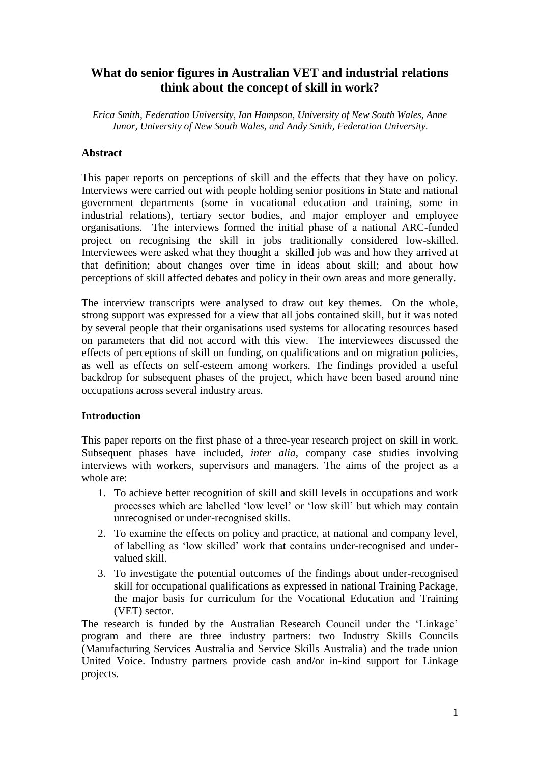# **What do senior figures in Australian VET and industrial relations think about the concept of skill in work?**

*Erica Smith, Federation University, Ian Hampson, University of New South Wales, Anne Junor, University of New South Wales, and Andy Smith, Federation University.*

### **Abstract**

This paper reports on perceptions of skill and the effects that they have on policy. Interviews were carried out with people holding senior positions in State and national government departments (some in vocational education and training, some in industrial relations), tertiary sector bodies, and major employer and employee organisations. The interviews formed the initial phase of a national ARC-funded project on recognising the skill in jobs traditionally considered low-skilled. Interviewees were asked what they thought a skilled job was and how they arrived at that definition; about changes over time in ideas about skill; and about how perceptions of skill affected debates and policy in their own areas and more generally.

The interview transcripts were analysed to draw out key themes. On the whole, strong support was expressed for a view that all jobs contained skill, but it was noted by several people that their organisations used systems for allocating resources based on parameters that did not accord with this view. The interviewees discussed the effects of perceptions of skill on funding, on qualifications and on migration policies, as well as effects on self-esteem among workers. The findings provided a useful backdrop for subsequent phases of the project, which have been based around nine occupations across several industry areas.

### **Introduction**

This paper reports on the first phase of a three-year research project on skill in work. Subsequent phases have included, *inter alia*, company case studies involving interviews with workers, supervisors and managers. The aims of the project as a whole are:

- 1. To achieve better recognition of skill and skill levels in occupations and work processes which are labelled 'low level' or 'low skill' but which may contain unrecognised or under-recognised skills.
- 2. To examine the effects on policy and practice, at national and company level, of labelling as 'low skilled' work that contains under-recognised and undervalued skill.
- 3. To investigate the potential outcomes of the findings about under-recognised skill for occupational qualifications as expressed in national Training Package, the major basis for curriculum for the Vocational Education and Training (VET) sector.

The research is funded by the Australian Research Council under the 'Linkage' program and there are three industry partners: two Industry Skills Councils (Manufacturing Services Australia and Service Skills Australia) and the trade union United Voice. Industry partners provide cash and/or in-kind support for Linkage projects.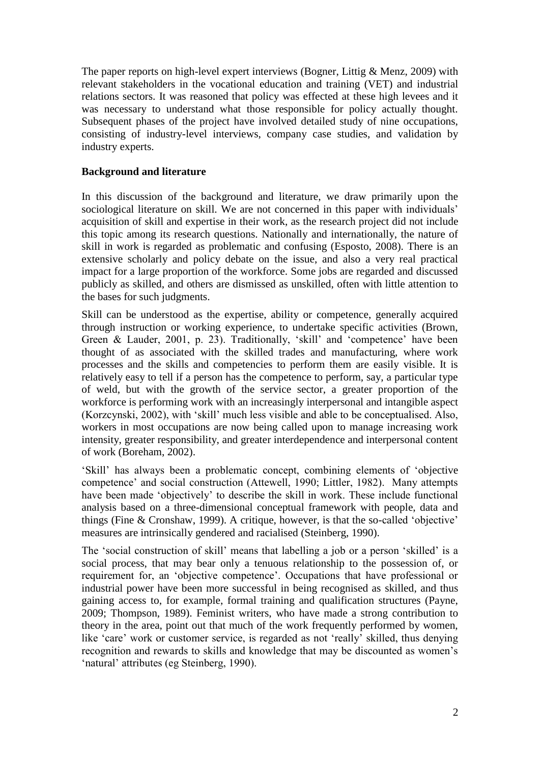The paper reports on high-level expert interviews (Bogner, Littig & Menz, 2009) with relevant stakeholders in the vocational education and training (VET) and industrial relations sectors. It was reasoned that policy was effected at these high levees and it was necessary to understand what those responsible for policy actually thought. Subsequent phases of the project have involved detailed study of nine occupations, consisting of industry-level interviews, company case studies, and validation by industry experts.

# **Background and literature**

In this discussion of the background and literature, we draw primarily upon the sociological literature on skill. We are not concerned in this paper with individuals' acquisition of skill and expertise in their work, as the research project did not include this topic among its research questions. Nationally and internationally, the nature of skill in work is regarded as problematic and confusing (Esposto, 2008). There is an extensive scholarly and policy debate on the issue, and also a very real practical impact for a large proportion of the workforce. Some jobs are regarded and discussed publicly as skilled, and others are dismissed as unskilled, often with little attention to the bases for such judgments.

Skill can be understood as the expertise, ability or competence, generally acquired through instruction or working experience, to undertake specific activities (Brown, Green & Lauder, 2001, p. 23). Traditionally, 'skill' and 'competence' have been thought of as associated with the skilled trades and manufacturing, where work processes and the skills and competencies to perform them are easily visible. It is relatively easy to tell if a person has the competence to perform, say, a particular type of weld, but with the growth of the service sector, a greater proportion of the workforce is performing work with an increasingly interpersonal and intangible aspect (Korzcynski, 2002), with 'skill' much less visible and able to be conceptualised. Also, workers in most occupations are now being called upon to manage increasing work intensity, greater responsibility, and greater interdependence and interpersonal content of work (Boreham, 2002).

'Skill' has always been a problematic concept, combining elements of 'objective competence' and social construction (Attewell, 1990; Littler, 1982). Many attempts have been made 'objectively' to describe the skill in work. These include functional analysis based on a three-dimensional conceptual framework with people, data and things (Fine & Cronshaw, 1999). A critique, however, is that the so-called 'objective' measures are intrinsically gendered and racialised (Steinberg, 1990).

The 'social construction of skill' means that labelling a job or a person 'skilled' is a social process, that may bear only a tenuous relationship to the possession of, or requirement for, an 'objective competence'. Occupations that have professional or industrial power have been more successful in being recognised as skilled, and thus gaining access to, for example, formal training and qualification structures (Payne, 2009; Thompson, 1989). Feminist writers, who have made a strong contribution to theory in the area, point out that much of the work frequently performed by women, like 'care' work or customer service, is regarded as not 'really' skilled, thus denying recognition and rewards to skills and knowledge that may be discounted as women's 'natural' attributes (eg Steinberg, 1990).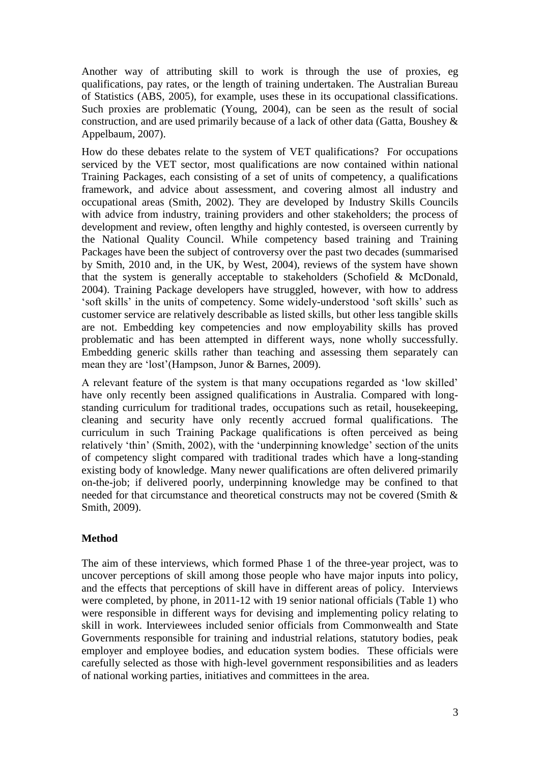Another way of attributing skill to work is through the use of proxies, eg qualifications, pay rates, or the length of training undertaken. The Australian Bureau of Statistics (ABS, 2005), for example, uses these in its occupational classifications. Such proxies are problematic (Young, 2004), can be seen as the result of social construction, and are used primarily because of a lack of other data (Gatta*,* Boushey & Appelbaum, 2007).

How do these debates relate to the system of VET qualifications? For occupations serviced by the VET sector, most qualifications are now contained within national Training Packages, each consisting of a set of units of competency, a qualifications framework, and advice about assessment, and covering almost all industry and occupational areas (Smith, 2002). They are developed by Industry Skills Councils with advice from industry, training providers and other stakeholders; the process of development and review, often lengthy and highly contested, is overseen currently by the National Quality Council. While competency based training and Training Packages have been the subject of controversy over the past two decades (summarised by Smith, 2010 and, in the UK, by West, 2004), reviews of the system have shown that the system is generally acceptable to stakeholders (Schofield & McDonald, 2004). Training Package developers have struggled, however, with how to address 'soft skills' in the units of competency. Some widely-understood 'soft skills' such as customer service are relatively describable as listed skills, but other less tangible skills are not. Embedding key competencies and now employability skills has proved problematic and has been attempted in different ways, none wholly successfully. Embedding generic skills rather than teaching and assessing them separately can mean they are 'lost'(Hampson, Junor & Barnes, 2009).

A relevant feature of the system is that many occupations regarded as 'low skilled' have only recently been assigned qualifications in Australia. Compared with longstanding curriculum for traditional trades, occupations such as retail, housekeeping, cleaning and security have only recently accrued formal qualifications. The curriculum in such Training Package qualifications is often perceived as being relatively 'thin' (Smith, 2002), with the 'underpinning knowledge' section of the units of competency slight compared with traditional trades which have a long-standing existing body of knowledge. Many newer qualifications are often delivered primarily on-the-job; if delivered poorly, underpinning knowledge may be confined to that needed for that circumstance and theoretical constructs may not be covered (Smith & Smith, 2009).

# **Method**

The aim of these interviews, which formed Phase 1 of the three-year project, was to uncover perceptions of skill among those people who have major inputs into policy, and the effects that perceptions of skill have in different areas of policy. Interviews were completed, by phone, in 2011-12 with 19 senior national officials (Table 1) who were responsible in different ways for devising and implementing policy relating to skill in work. Interviewees included senior officials from Commonwealth and State Governments responsible for training and industrial relations, statutory bodies, peak employer and employee bodies, and education system bodies. These officials were carefully selected as those with high-level government responsibilities and as leaders of national working parties, initiatives and committees in the area.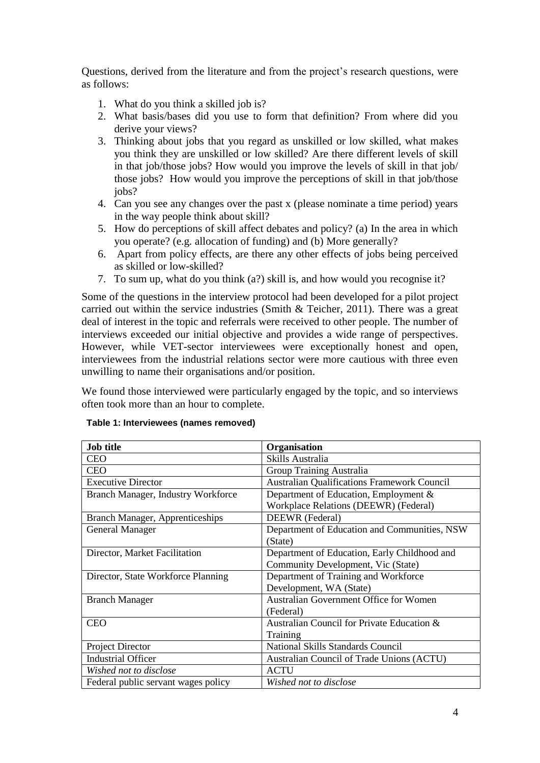Questions, derived from the literature and from the project's research questions, were as follows:

- 1. What do you think a skilled job is?
- 2. What basis/bases did you use to form that definition? From where did you derive your views?
- 3. Thinking about jobs that you regard as unskilled or low skilled, what makes you think they are unskilled or low skilled? Are there different levels of skill in that job/those jobs? How would you improve the levels of skill in that job/ those jobs? How would you improve the perceptions of skill in that job/those jobs?
- 4. Can you see any changes over the past x (please nominate a time period) years in the way people think about skill?
- 5. How do perceptions of skill affect debates and policy? (a) In the area in which you operate? (e.g. allocation of funding) and (b) More generally?
- 6. Apart from policy effects, are there any other effects of jobs being perceived as skilled or low-skilled?
- 7. To sum up, what do you think (a?) skill is, and how would you recognise it?

Some of the questions in the interview protocol had been developed for a pilot project carried out within the service industries (Smith & Teicher, 2011). There was a great deal of interest in the topic and referrals were received to other people. The number of interviews exceeded our initial objective and provides a wide range of perspectives. However, while VET-sector interviewees were exceptionally honest and open, interviewees from the industrial relations sector were more cautious with three even unwilling to name their organisations and/or position.

We found those interviewed were particularly engaged by the topic, and so interviews often took more than an hour to complete.

| <b>Job title</b>                       | Organisation                                       |
|----------------------------------------|----------------------------------------------------|
| <b>CEO</b>                             | Skills Australia                                   |
| <b>CEO</b>                             | <b>Group Training Australia</b>                    |
| <b>Executive Director</b>              | <b>Australian Qualifications Framework Council</b> |
| Branch Manager, Industry Workforce     | Department of Education, Employment &              |
|                                        | Workplace Relations (DEEWR) (Federal)              |
| <b>Branch Manager, Apprenticeships</b> | DEEWR (Federal)                                    |
| <b>General Manager</b>                 | Department of Education and Communities, NSW       |
|                                        | (State)                                            |
| Director, Market Facilitation          | Department of Education, Early Childhood and       |
|                                        | Community Development, Vic (State)                 |
| Director, State Workforce Planning     | Department of Training and Workforce               |
|                                        | Development, WA (State)                            |
| <b>Branch Manager</b>                  | <b>Australian Government Office for Women</b>      |
|                                        | (Federal)                                          |
| <b>CEO</b>                             | Australian Council for Private Education &         |
|                                        | Training                                           |
| Project Director                       | <b>National Skills Standards Council</b>           |
| <b>Industrial Officer</b>              | Australian Council of Trade Unions (ACTU)          |
| Wished not to disclose                 | <b>ACTU</b>                                        |
| Federal public servant wages policy    | Wished not to disclose                             |

#### **Table 1: Interviewees (names removed)**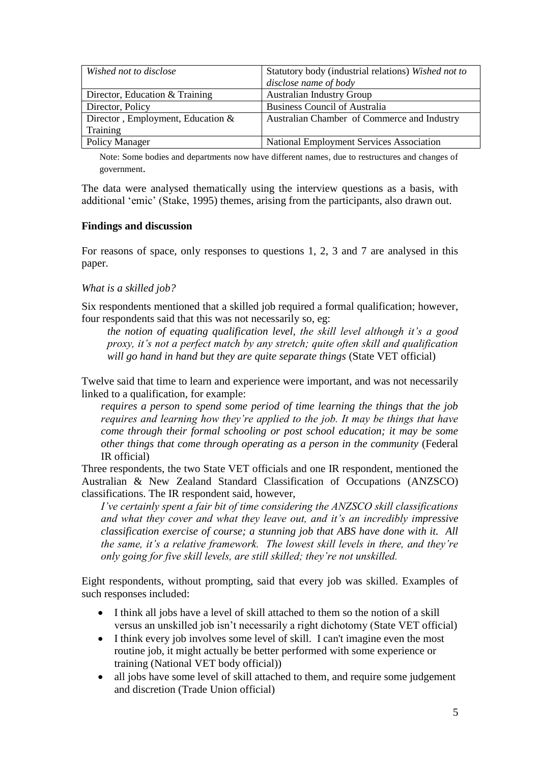| Wished not to disclose              | Statutory body (industrial relations) Wished not to |
|-------------------------------------|-----------------------------------------------------|
|                                     | disclose name of body                               |
| Director, Education & Training      | <b>Australian Industry Group</b>                    |
| Director, Policy                    | <b>Business Council of Australia</b>                |
| Director, Employment, Education $&$ | Australian Chamber of Commerce and Industry         |
| Training                            |                                                     |
| <b>Policy Manager</b>               | National Employment Services Association            |

Note: Some bodies and departments now have different names, due to restructures and changes of government.

The data were analysed thematically using the interview questions as a basis, with additional 'emic' (Stake, 1995) themes, arising from the participants, also drawn out.

#### **Findings and discussion**

For reasons of space, only responses to questions 1, 2, 3 and 7 are analysed in this paper.

#### *What is a skilled job?*

Six respondents mentioned that a skilled job required a formal qualification; however, four respondents said that this was not necessarily so, eg:

*the notion of equating qualification level, the skill level although it's a good proxy, it's not a perfect match by any stretch; quite often skill and qualification will go hand in hand but they are quite separate things* (State VET official)

Twelve said that time to learn and experience were important, and was not necessarily linked to a qualification, for example:

*requires a person to spend some period of time learning the things that the job requires and learning how they're applied to the job. It may be things that have come through their formal schooling or post school education; it may be some other things that come through operating as a person in the community* (Federal IR official)

Three respondents, the two State VET officials and one IR respondent, mentioned the Australian & New Zealand Standard Classification of Occupations (ANZSCO) classifications. The IR respondent said, however,

*I've certainly spent a fair bit of time considering the ANZSCO skill classifications and what they cover and what they leave out, and it's an incredibly impressive classification exercise of course; a stunning job that ABS have done with it. All the same, it's a relative framework. The lowest skill levels in there, and they're only going for five skill levels, are still skilled; they're not unskilled.*

Eight respondents, without prompting, said that every job was skilled. Examples of such responses included:

- I think all jobs have a level of skill attached to them so the notion of a skill versus an unskilled job isn't necessarily a right dichotomy (State VET official)
- I think every job involves some level of skill. I can't imagine even the most routine job, it might actually be better performed with some experience or training (National VET body official))
- all jobs have some level of skill attached to them, and require some judgement and discretion (Trade Union official)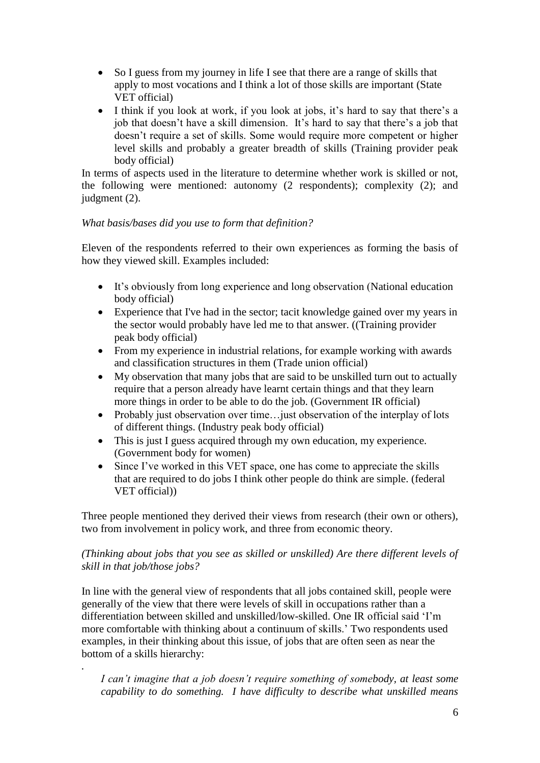- So I guess from my journey in life I see that there are a range of skills that apply to most vocations and I think a lot of those skills are important (State VET official)
- I think if you look at work, if you look at jobs, it's hard to say that there's a job that doesn't have a skill dimension. It's hard to say that there's a job that doesn't require a set of skills. Some would require more competent or higher level skills and probably a greater breadth of skills (Training provider peak body official)

In terms of aspects used in the literature to determine whether work is skilled or not, the following were mentioned: autonomy (2 respondents); complexity (2); and judgment (2).

# *What basis/bases did you use to form that definition?*

Eleven of the respondents referred to their own experiences as forming the basis of how they viewed skill. Examples included:

- It's obviously from long experience and long observation (National education body official)
- Experience that I've had in the sector; tacit knowledge gained over my years in the sector would probably have led me to that answer. ((Training provider peak body official)
- From my experience in industrial relations, for example working with awards and classification structures in them (Trade union official)
- My observation that many jobs that are said to be unskilled turn out to actually require that a person already have learnt certain things and that they learn more things in order to be able to do the job. (Government IR official)
- Probably just observation over time... just observation of the interplay of lots of different things. (Industry peak body official)
- This is just I guess acquired through my own education, my experience. (Government body for women)
- Since I've worked in this VET space, one has come to appreciate the skills that are required to do jobs I think other people do think are simple. (federal VET official))

Three people mentioned they derived their views from research (their own or others), two from involvement in policy work, and three from economic theory.

# *(Thinking about jobs that you see as skilled or unskilled) Are there different levels of skill in that job/those jobs?*

In line with the general view of respondents that all jobs contained skill, people were generally of the view that there were levels of skill in occupations rather than a differentiation between skilled and unskilled/low-skilled. One IR official said 'I'm more comfortable with thinking about a continuum of skills.' Two respondents used examples, in their thinking about this issue, of jobs that are often seen as near the bottom of a skills hierarchy:

*.*

*I can't imagine that a job doesn't require something of somebody, at least some capability to do something. I have difficulty to describe what unskilled means*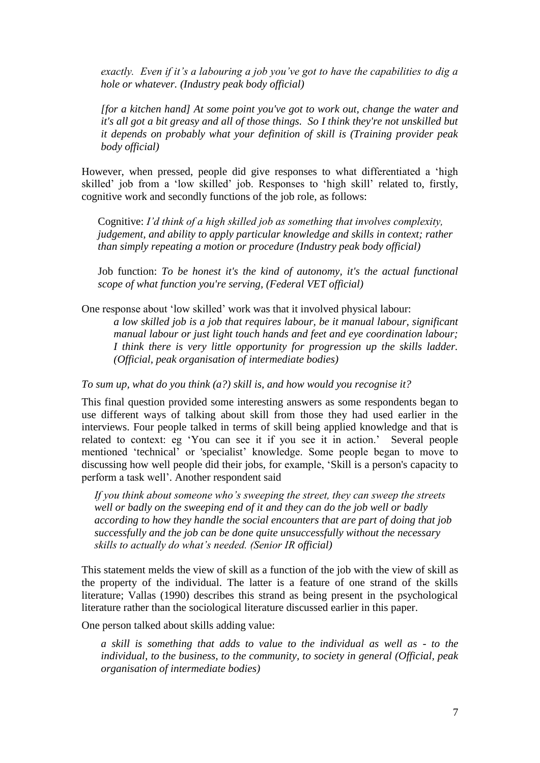*exactly. Even if it's a labouring a job you've got to have the capabilities to dig a hole or whatever. (Industry peak body official)*

*[for a kitchen hand] At some point you've got to work out, change the water and it's all got a bit greasy and all of those things. So I think they're not unskilled but it depends on probably what your definition of skill is (Training provider peak body official)*

However, when pressed, people did give responses to what differentiated a 'high skilled' job from a 'low skilled' job. Responses to 'high skill' related to, firstly, cognitive work and secondly functions of the job role, as follows:

Cognitive: *I'd think of a high skilled job as something that involves complexity, judgement, and ability to apply particular knowledge and skills in context; rather than simply repeating a motion or procedure (Industry peak body official)*

Job function: *To be honest it's the kind of autonomy, it's the actual functional scope of what function you're serving, (Federal VET official)*

One response about 'low skilled' work was that it involved physical labour:

*a low skilled job is a job that requires labour, be it manual labour, significant manual labour or just light touch hands and feet and eye coordination labour; I think there is very little opportunity for progression up the skills ladder. (Official, peak organisation of intermediate bodies)*

*To sum up, what do you think (a?) skill is, and how would you recognise it?*

This final question provided some interesting answers as some respondents began to use different ways of talking about skill from those they had used earlier in the interviews. Four people talked in terms of skill being applied knowledge and that is related to context: eg 'You can see it if you see it in action.' Several people mentioned 'technical' or 'specialist' knowledge. Some people began to move to discussing how well people did their jobs, for example, 'Skill is a person's capacity to perform a task well'. Another respondent said

*If you think about someone who's sweeping the street, they can sweep the streets well or badly on the sweeping end of it and they can do the job well or badly according to how they handle the social encounters that are part of doing that job successfully and the job can be done quite unsuccessfully without the necessary skills to actually do what's needed. (Senior IR official)*

This statement melds the view of skill as a function of the job with the view of skill as the property of the individual. The latter is a feature of one strand of the skills literature; Vallas (1990) describes this strand as being present in the psychological literature rather than the sociological literature discussed earlier in this paper.

One person talked about skills adding value:

*a skill is something that adds to value to the individual as well as - to the individual, to the business, to the community, to society in general (Official, peak organisation of intermediate bodies)*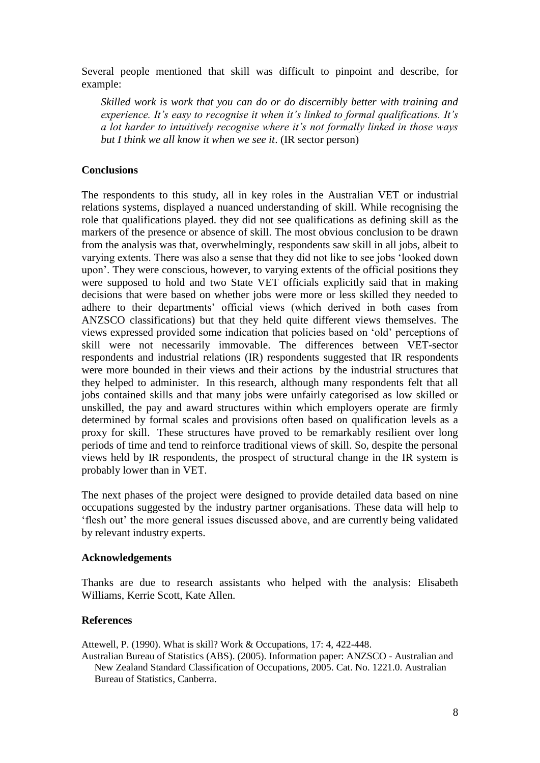Several people mentioned that skill was difficult to pinpoint and describe, for example:

*Skilled work is work that you can do or do discernibly better with training and experience. It's easy to recognise it when it's linked to formal qualifications. It's a lot harder to intuitively recognise where it's not formally linked in those ways but I think we all know it when we see it*. (IR sector person)

# **Conclusions**

The respondents to this study, all in key roles in the Australian VET or industrial relations systems, displayed a nuanced understanding of skill. While recognising the role that qualifications played. they did not see qualifications as defining skill as the markers of the presence or absence of skill. The most obvious conclusion to be drawn from the analysis was that, overwhelmingly, respondents saw skill in all jobs, albeit to varying extents. There was also a sense that they did not like to see jobs 'looked down upon'. They were conscious, however, to varying extents of the official positions they were supposed to hold and two State VET officials explicitly said that in making decisions that were based on whether jobs were more or less skilled they needed to adhere to their departments' official views (which derived in both cases from ANZSCO classifications) but that they held quite different views themselves. The views expressed provided some indication that policies based on 'old' perceptions of skill were not necessarily immovable. The differences between VET-sector respondents and industrial relations (IR) respondents suggested that IR respondents were more bounded in their views and their actions by the industrial structures that they helped to administer. In this research, although many respondents felt that all jobs contained skills and that many jobs were unfairly categorised as low skilled or unskilled, the pay and award structures within which employers operate are firmly determined by formal scales and provisions often based on qualification levels as a proxy for skill. These structures have proved to be remarkably resilient over long periods of time and tend to reinforce traditional views of skill. So, despite the personal views held by IR respondents, the prospect of structural change in the IR system is probably lower than in VET.

The next phases of the project were designed to provide detailed data based on nine occupations suggested by the industry partner organisations. These data will help to 'flesh out' the more general issues discussed above, and are currently being validated by relevant industry experts.

### **Acknowledgements**

Thanks are due to research assistants who helped with the analysis: Elisabeth Williams, Kerrie Scott, Kate Allen.

### **References**

Attewell, P. (1990). What is skill? Work & Occupations, 17: 4, 422-448. Australian Bureau of Statistics (ABS). (2005). Information paper: ANZSCO - Australian and New Zealand Standard Classification of Occupations, 2005. Cat. No. 1221.0. Australian Bureau of Statistics, Canberra.